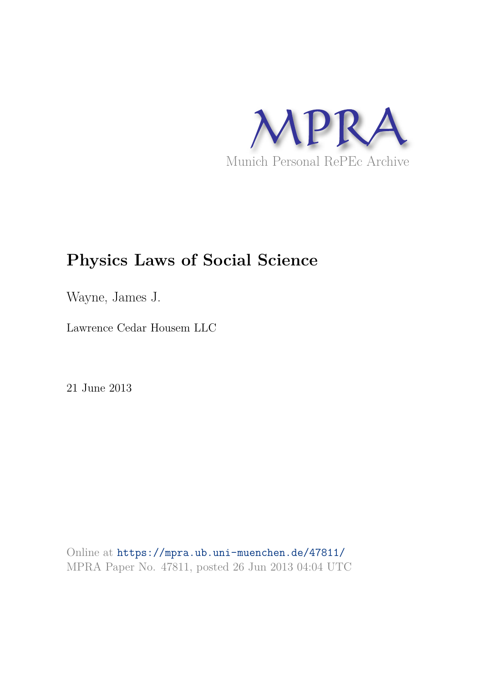

# **Physics Laws of Social Science**

Wayne, James J.

Lawrence Cedar Housem LLC

21 June 2013

Online at https://mpra.ub.uni-muenchen.de/47811/ MPRA Paper No. 47811, posted 26 Jun 2013 04:04 UTC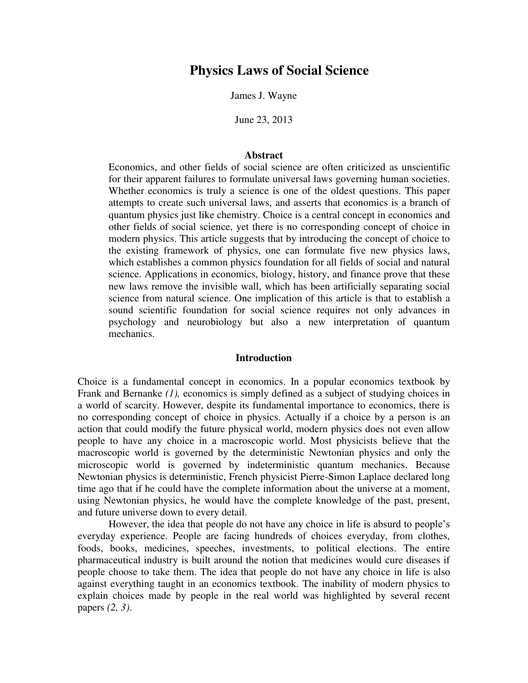# **Physics Laws of Social Science**

James J. Wayne

June 23, 2013

# **Abstract**

Economics, and other fields of social science are often criticized as unscientific for their apparent failures to formulate universal laws governing human societies. Whether economics is truly a science is one of the oldest questions. This paper attempts to create such universal laws, and asserts that economics is a branch of quantum physics just like chemistry. Choice is a central concept in economics and other fields of social science, yet there is no corresponding concept of choice in modern physics. This article suggests that by introducing the concept of choice to the existing framework of physics, one can formulate five new physics laws, which establishes a common physics foundation for all fields of social and natural science. Applications in economics, biology, history, and finance prove that these new laws remove the invisible wall, which has been artificially separating social science from natural science. One implication of this article is that to establish a sound scientific foundation for social science requires not only advances in psychology and neurobiology but also a new interpretation of quantum mechanics.

# **Introduction**

Choice is a fundamental concept in economics. In a popular economics textbook by Frank and Bernanke *(1),* economics is simply defined as a subject of studying choices in a world of scarcity. However, despite its fundamental importance to economics, there is no corresponding concept of choice in physics. Actually if a choice by a person is an action that could modify the future physical world, modern physics does not even allow people to have any choice in a macroscopic world. Most physicists believe that the macroscopic world is governed by the deterministic Newtonian physics and only the microscopic world is governed by indeterministic quantum mechanics. Because Newtonian physics is deterministic, French physicist Pierre-Simon Laplace declared long time ago that if he could have the complete information about the universe at a moment, using Newtonian physics, he would have the complete knowledge of the past, present, and future universe down to every detail.

However, the idea that people do not have any choice in life is absurd to people's everyday experience. People are facing hundreds of choices everyday, from clothes, foods, books, medicines, speeches, investments, to political elections. The entire pharmaceutical industry is built around the notion that medicines would cure diseases if people choose to take them. The idea that people do not have any choice in life is also against everything taught in an economics textbook. The inability of modern physics to explain choices made by people in the real world was highlighted by several recent papers *(2, 3)*.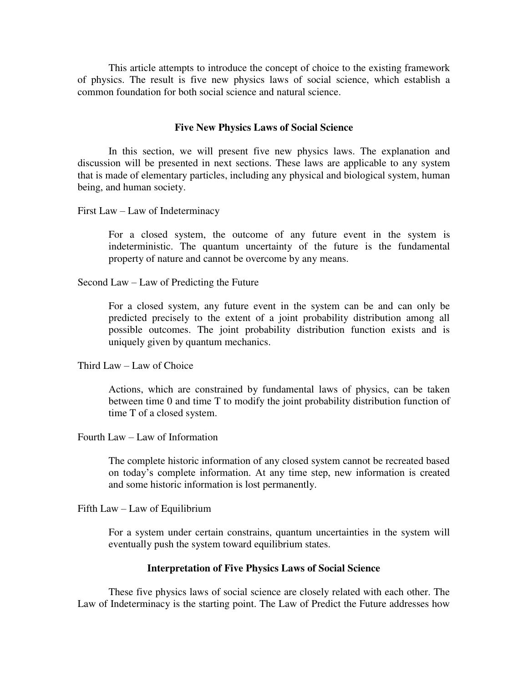This article attempts to introduce the concept of choice to the existing framework of physics. The result is five new physics laws of social science, which establish a common foundation for both social science and natural science.

# **Five New Physics Laws of Social Science**

In this section, we will present five new physics laws. The explanation and discussion will be presented in next sections. These laws are applicable to any system that is made of elementary particles, including any physical and biological system, human being, and human society.

First Law – Law of Indeterminacy

For a closed system, the outcome of any future event in the system is indeterministic. The quantum uncertainty of the future is the fundamental property of nature and cannot be overcome by any means.

Second Law – Law of Predicting the Future

For a closed system, any future event in the system can be and can only be predicted precisely to the extent of a joint probability distribution among all possible outcomes. The joint probability distribution function exists and is uniquely given by quantum mechanics.

Third Law – Law of Choice

Actions, which are constrained by fundamental laws of physics, can be taken between time 0 and time T to modify the joint probability distribution function of time T of a closed system.

Fourth Law – Law of Information

The complete historic information of any closed system cannot be recreated based on today's complete information. At any time step, new information is created and some historic information is lost permanently.

Fifth Law – Law of Equilibrium

For a system under certain constrains, quantum uncertainties in the system will eventually push the system toward equilibrium states.

# **Interpretation of Five Physics Laws of Social Science**

These five physics laws of social science are closely related with each other. The Law of Indeterminacy is the starting point. The Law of Predict the Future addresses how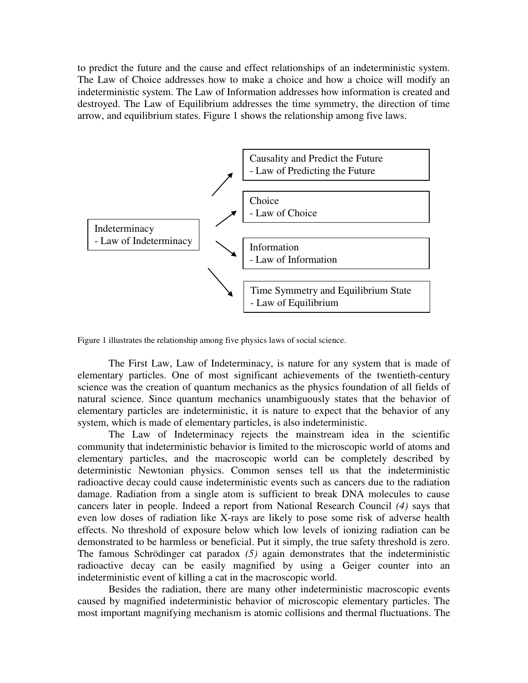to predict the future and the cause and effect relationships of an indeterministic system. The Law of Choice addresses how to make a choice and how a choice will modify an indeterministic system. The Law of Information addresses how information is created and destroyed. The Law of Equilibrium addresses the time symmetry, the direction of time arrow, and equilibrium states. Figure 1 shows the relationship among five laws.



Figure 1 illustrates the relationship among five physics laws of social science.

The First Law, Law of Indeterminacy, is nature for any system that is made of elementary particles. One of most significant achievements of the twentieth-century science was the creation of quantum mechanics as the physics foundation of all fields of natural science. Since quantum mechanics unambiguously states that the behavior of elementary particles are indeterministic, it is nature to expect that the behavior of any system, which is made of elementary particles, is also indeterministic.

The Law of Indeterminacy rejects the mainstream idea in the scientific community that indeterministic behavior is limited to the microscopic world of atoms and elementary particles, and the macroscopic world can be completely described by deterministic Newtonian physics. Common senses tell us that the indeterministic radioactive decay could cause indeterministic events such as cancers due to the radiation damage. Radiation from a single atom is sufficient to break DNA molecules to cause cancers later in people. Indeed a report from National Research Council *(4)* says that even low doses of radiation like X-rays are likely to pose some risk of adverse health effects. No threshold of exposure below which low levels of ionizing radiation can be demonstrated to be harmless or beneficial. Put it simply, the true safety threshold is zero. The famous Schrödinger cat paradox *(5)* again demonstrates that the indeterministic radioactive decay can be easily magnified by using a Geiger counter into an indeterministic event of killing a cat in the macroscopic world.

Besides the radiation, there are many other indeterministic macroscopic events caused by magnified indeterministic behavior of microscopic elementary particles. The most important magnifying mechanism is atomic collisions and thermal fluctuations. The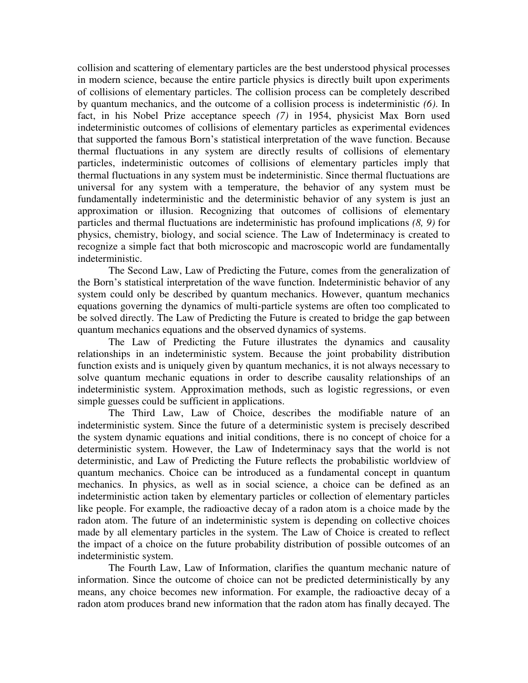collision and scattering of elementary particles are the best understood physical processes in modern science, because the entire particle physics is directly built upon experiments of collisions of elementary particles. The collision process can be completely described by quantum mechanics, and the outcome of a collision process is indeterministic *(6)*. In fact, in his Nobel Prize acceptance speech *(7)* in 1954, physicist Max Born used indeterministic outcomes of collisions of elementary particles as experimental evidences that supported the famous Born's statistical interpretation of the wave function. Because thermal fluctuations in any system are directly results of collisions of elementary particles, indeterministic outcomes of collisions of elementary particles imply that thermal fluctuations in any system must be indeterministic. Since thermal fluctuations are universal for any system with a temperature, the behavior of any system must be fundamentally indeterministic and the deterministic behavior of any system is just an approximation or illusion. Recognizing that outcomes of collisions of elementary particles and thermal fluctuations are indeterministic has profound implications *(8, 9)* for physics, chemistry, biology, and social science. The Law of Indeterminacy is created to recognize a simple fact that both microscopic and macroscopic world are fundamentally indeterministic.

The Second Law, Law of Predicting the Future, comes from the generalization of the Born's statistical interpretation of the wave function. Indeterministic behavior of any system could only be described by quantum mechanics. However, quantum mechanics equations governing the dynamics of multi-particle systems are often too complicated to be solved directly. The Law of Predicting the Future is created to bridge the gap between quantum mechanics equations and the observed dynamics of systems.

The Law of Predicting the Future illustrates the dynamics and causality relationships in an indeterministic system. Because the joint probability distribution function exists and is uniquely given by quantum mechanics, it is not always necessary to solve quantum mechanic equations in order to describe causality relationships of an indeterministic system. Approximation methods, such as logistic regressions, or even simple guesses could be sufficient in applications.

The Third Law, Law of Choice, describes the modifiable nature of an indeterministic system. Since the future of a deterministic system is precisely described the system dynamic equations and initial conditions, there is no concept of choice for a deterministic system. However, the Law of Indeterminacy says that the world is not deterministic, and Law of Predicting the Future reflects the probabilistic worldview of quantum mechanics. Choice can be introduced as a fundamental concept in quantum mechanics. In physics, as well as in social science, a choice can be defined as an indeterministic action taken by elementary particles or collection of elementary particles like people. For example, the radioactive decay of a radon atom is a choice made by the radon atom. The future of an indeterministic system is depending on collective choices made by all elementary particles in the system. The Law of Choice is created to reflect the impact of a choice on the future probability distribution of possible outcomes of an indeterministic system.

The Fourth Law, Law of Information, clarifies the quantum mechanic nature of information. Since the outcome of choice can not be predicted deterministically by any means, any choice becomes new information. For example, the radioactive decay of a radon atom produces brand new information that the radon atom has finally decayed. The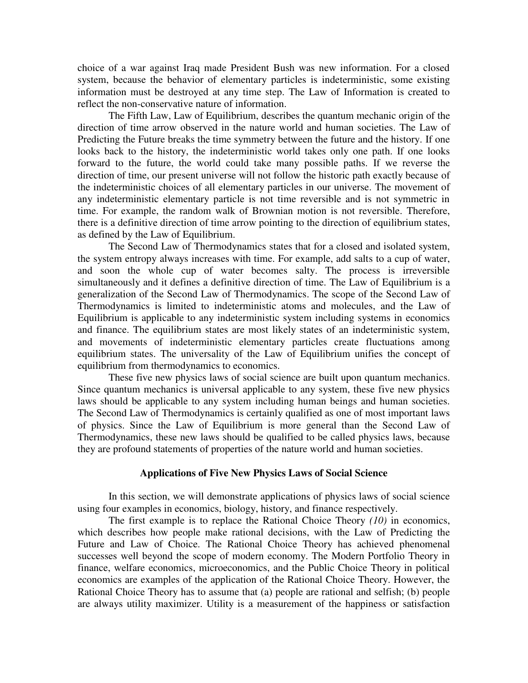choice of a war against Iraq made President Bush was new information. For a closed system, because the behavior of elementary particles is indeterministic, some existing information must be destroyed at any time step. The Law of Information is created to reflect the non-conservative nature of information.

The Fifth Law, Law of Equilibrium, describes the quantum mechanic origin of the direction of time arrow observed in the nature world and human societies. The Law of Predicting the Future breaks the time symmetry between the future and the history. If one looks back to the history, the indeterministic world takes only one path. If one looks forward to the future, the world could take many possible paths. If we reverse the direction of time, our present universe will not follow the historic path exactly because of the indeterministic choices of all elementary particles in our universe. The movement of any indeterministic elementary particle is not time reversible and is not symmetric in time. For example, the random walk of Brownian motion is not reversible. Therefore, there is a definitive direction of time arrow pointing to the direction of equilibrium states, as defined by the Law of Equilibrium.

The Second Law of Thermodynamics states that for a closed and isolated system, the system entropy always increases with time. For example, add salts to a cup of water, and soon the whole cup of water becomes salty. The process is irreversible simultaneously and it defines a definitive direction of time. The Law of Equilibrium is a generalization of the Second Law of Thermodynamics. The scope of the Second Law of Thermodynamics is limited to indeterministic atoms and molecules, and the Law of Equilibrium is applicable to any indeterministic system including systems in economics and finance. The equilibrium states are most likely states of an indeterministic system, and movements of indeterministic elementary particles create fluctuations among equilibrium states. The universality of the Law of Equilibrium unifies the concept of equilibrium from thermodynamics to economics.

These five new physics laws of social science are built upon quantum mechanics. Since quantum mechanics is universal applicable to any system, these five new physics laws should be applicable to any system including human beings and human societies. The Second Law of Thermodynamics is certainly qualified as one of most important laws of physics. Since the Law of Equilibrium is more general than the Second Law of Thermodynamics, these new laws should be qualified to be called physics laws, because they are profound statements of properties of the nature world and human societies.

# **Applications of Five New Physics Laws of Social Science**

In this section, we will demonstrate applications of physics laws of social science using four examples in economics, biology, history, and finance respectively.

The first example is to replace the Rational Choice Theory *(10)* in economics, which describes how people make rational decisions, with the Law of Predicting the Future and Law of Choice. The Rational Choice Theory has achieved phenomenal successes well beyond the scope of modern economy. The Modern Portfolio Theory in finance, welfare economics, microeconomics, and the Public Choice Theory in political economics are examples of the application of the Rational Choice Theory. However, the Rational Choice Theory has to assume that (a) people are rational and selfish; (b) people are always utility maximizer. Utility is a measurement of the happiness or satisfaction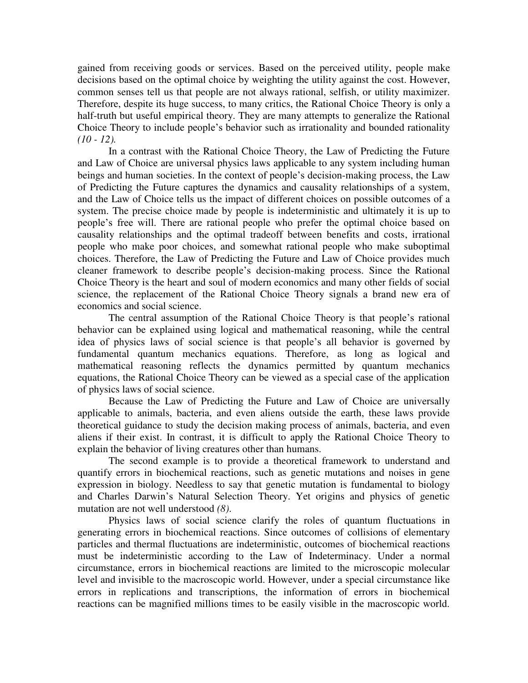gained from receiving goods or services. Based on the perceived utility, people make decisions based on the optimal choice by weighting the utility against the cost. However, common senses tell us that people are not always rational, selfish, or utility maximizer. Therefore, despite its huge success, to many critics, the Rational Choice Theory is only a half-truth but useful empirical theory. They are many attempts to generalize the Rational Choice Theory to include people's behavior such as irrationality and bounded rationality *(10 - 12).*

In a contrast with the Rational Choice Theory, the Law of Predicting the Future and Law of Choice are universal physics laws applicable to any system including human beings and human societies. In the context of people's decision-making process, the Law of Predicting the Future captures the dynamics and causality relationships of a system, and the Law of Choice tells us the impact of different choices on possible outcomes of a system. The precise choice made by people is indeterministic and ultimately it is up to people's free will. There are rational people who prefer the optimal choice based on causality relationships and the optimal tradeoff between benefits and costs, irrational people who make poor choices, and somewhat rational people who make suboptimal choices. Therefore, the Law of Predicting the Future and Law of Choice provides much cleaner framework to describe people's decision-making process. Since the Rational Choice Theory is the heart and soul of modern economics and many other fields of social science, the replacement of the Rational Choice Theory signals a brand new era of economics and social science.

The central assumption of the Rational Choice Theory is that people's rational behavior can be explained using logical and mathematical reasoning, while the central idea of physics laws of social science is that people's all behavior is governed by fundamental quantum mechanics equations. Therefore, as long as logical and mathematical reasoning reflects the dynamics permitted by quantum mechanics equations, the Rational Choice Theory can be viewed as a special case of the application of physics laws of social science.

Because the Law of Predicting the Future and Law of Choice are universally applicable to animals, bacteria, and even aliens outside the earth, these laws provide theoretical guidance to study the decision making process of animals, bacteria, and even aliens if their exist. In contrast, it is difficult to apply the Rational Choice Theory to explain the behavior of living creatures other than humans.

The second example is to provide a theoretical framework to understand and quantify errors in biochemical reactions, such as genetic mutations and noises in gene expression in biology. Needless to say that genetic mutation is fundamental to biology and Charles Darwin's Natural Selection Theory. Yet origins and physics of genetic mutation are not well understood *(8)*.

Physics laws of social science clarify the roles of quantum fluctuations in generating errors in biochemical reactions. Since outcomes of collisions of elementary particles and thermal fluctuations are indeterministic, outcomes of biochemical reactions must be indeterministic according to the Law of Indeterminacy. Under a normal circumstance, errors in biochemical reactions are limited to the microscopic molecular level and invisible to the macroscopic world. However, under a special circumstance like errors in replications and transcriptions, the information of errors in biochemical reactions can be magnified millions times to be easily visible in the macroscopic world.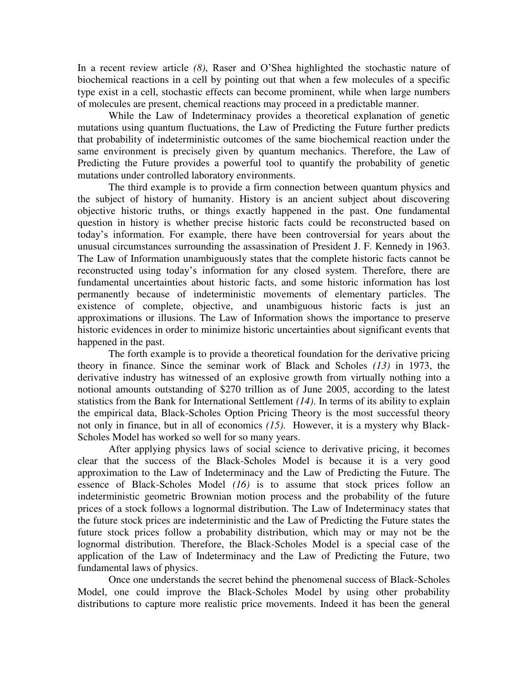In a recent review article *(8)*, Raser and O'Shea highlighted the stochastic nature of biochemical reactions in a cell by pointing out that when a few molecules of a specific type exist in a cell, stochastic effects can become prominent, while when large numbers of molecules are present, chemical reactions may proceed in a predictable manner.

While the Law of Indeterminacy provides a theoretical explanation of genetic mutations using quantum fluctuations, the Law of Predicting the Future further predicts that probability of indeterministic outcomes of the same biochemical reaction under the same environment is precisely given by quantum mechanics. Therefore, the Law of Predicting the Future provides a powerful tool to quantify the probability of genetic mutations under controlled laboratory environments.

The third example is to provide a firm connection between quantum physics and the subject of history of humanity. History is an ancient subject about discovering objective historic truths, or things exactly happened in the past. One fundamental question in history is whether precise historic facts could be reconstructed based on today's information. For example, there have been controversial for years about the unusual circumstances surrounding the assassination of President J. F. Kennedy in 1963. The Law of Information unambiguously states that the complete historic facts cannot be reconstructed using today's information for any closed system. Therefore, there are fundamental uncertainties about historic facts, and some historic information has lost permanently because of indeterministic movements of elementary particles. The existence of complete, objective, and unambiguous historic facts is just an approximations or illusions. The Law of Information shows the importance to preserve historic evidences in order to minimize historic uncertainties about significant events that happened in the past.

The forth example is to provide a theoretical foundation for the derivative pricing theory in finance. Since the seminar work of Black and Scholes *(13)* in 1973, the derivative industry has witnessed of an explosive growth from virtually nothing into a notional amounts outstanding of \$270 trillion as of June 2005, according to the latest statistics from the Bank for International Settlement *(14)*. In terms of its ability to explain the empirical data, Black-Scholes Option Pricing Theory is the most successful theory not only in finance, but in all of economics *(15)*. However, it is a mystery why Black-Scholes Model has worked so well for so many years.

After applying physics laws of social science to derivative pricing, it becomes clear that the success of the Black-Scholes Model is because it is a very good approximation to the Law of Indeterminacy and the Law of Predicting the Future. The essence of Black-Scholes Model *(16)* is to assume that stock prices follow an indeterministic geometric Brownian motion process and the probability of the future prices of a stock follows a lognormal distribution. The Law of Indeterminacy states that the future stock prices are indeterministic and the Law of Predicting the Future states the future stock prices follow a probability distribution, which may or may not be the lognormal distribution. Therefore, the Black-Scholes Model is a special case of the application of the Law of Indeterminacy and the Law of Predicting the Future, two fundamental laws of physics.

Once one understands the secret behind the phenomenal success of Black-Scholes Model, one could improve the Black-Scholes Model by using other probability distributions to capture more realistic price movements. Indeed it has been the general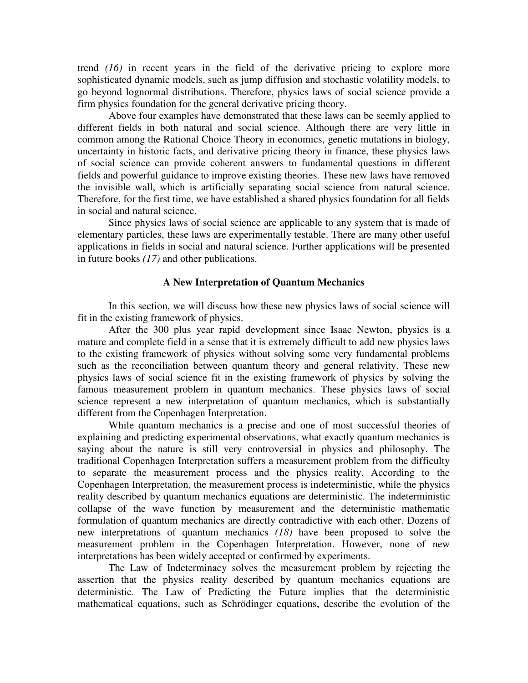trend *(16)* in recent years in the field of the derivative pricing to explore more sophisticated dynamic models, such as jump diffusion and stochastic volatility models, to go beyond lognormal distributions. Therefore, physics laws of social science provide a firm physics foundation for the general derivative pricing theory.

Above four examples have demonstrated that these laws can be seemly applied to different fields in both natural and social science. Although there are very little in common among the Rational Choice Theory in economics, genetic mutations in biology, uncertainty in historic facts, and derivative pricing theory in finance, these physics laws of social science can provide coherent answers to fundamental questions in different fields and powerful guidance to improve existing theories. These new laws have removed the invisible wall, which is artificially separating social science from natural science. Therefore, for the first time, we have established a shared physics foundation for all fields in social and natural science.

Since physics laws of social science are applicable to any system that is made of elementary particles, these laws are experimentally testable. There are many other useful applications in fields in social and natural science. Further applications will be presented in future books *(17)* and other publications.

# **A New Interpretation of Quantum Mechanics**

In this section, we will discuss how these new physics laws of social science will fit in the existing framework of physics.

After the 300 plus year rapid development since Isaac Newton, physics is a mature and complete field in a sense that it is extremely difficult to add new physics laws to the existing framework of physics without solving some very fundamental problems such as the reconciliation between quantum theory and general relativity. These new physics laws of social science fit in the existing framework of physics by solving the famous measurement problem in quantum mechanics. These physics laws of social science represent a new interpretation of quantum mechanics, which is substantially different from the Copenhagen Interpretation.

While quantum mechanics is a precise and one of most successful theories of explaining and predicting experimental observations, what exactly quantum mechanics is saying about the nature is still very controversial in physics and philosophy. The traditional Copenhagen Interpretation suffers a measurement problem from the difficulty to separate the measurement process and the physics reality. According to the Copenhagen Interpretation, the measurement process is indeterministic, while the physics reality described by quantum mechanics equations are deterministic. The indeterministic collapse of the wave function by measurement and the deterministic mathematic formulation of quantum mechanics are directly contradictive with each other. Dozens of new interpretations of quantum mechanics *(18)* have been proposed to solve the measurement problem in the Copenhagen Interpretation. However, none of new interpretations has been widely accepted or confirmed by experiments.

The Law of Indeterminacy solves the measurement problem by rejecting the assertion that the physics reality described by quantum mechanics equations are deterministic. The Law of Predicting the Future implies that the deterministic mathematical equations, such as Schrödinger equations, describe the evolution of the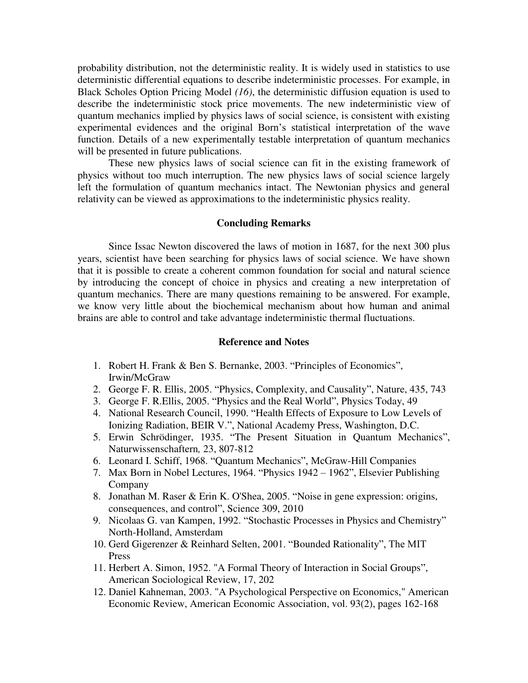probability distribution, not the deterministic reality. It is widely used in statistics to use deterministic differential equations to describe indeterministic processes. For example, in Black Scholes Option Pricing Model *(16)*, the deterministic diffusion equation is used to describe the indeterministic stock price movements. The new indeterministic view of quantum mechanics implied by physics laws of social science, is consistent with existing experimental evidences and the original Born's statistical interpretation of the wave function. Details of a new experimentally testable interpretation of quantum mechanics will be presented in future publications.

These new physics laws of social science can fit in the existing framework of physics without too much interruption. The new physics laws of social science largely left the formulation of quantum mechanics intact. The Newtonian physics and general relativity can be viewed as approximations to the indeterministic physics reality.

# **Concluding Remarks**

Since Issac Newton discovered the laws of motion in 1687, for the next 300 plus years, scientist have been searching for physics laws of social science. We have shown that it is possible to create a coherent common foundation for social and natural science by introducing the concept of choice in physics and creating a new interpretation of quantum mechanics. There are many questions remaining to be answered. For example, we know very little about the biochemical mechanism about how human and animal brains are able to control and take advantage indeterministic thermal fluctuations.

#### **Reference and Notes**

- 1. Robert H. Frank & Ben S. Bernanke, 2003. "Principles of Economics", Irwin/McGraw
- 2. George F. R. Ellis, 2005. "Physics, Complexity, and Causality", Nature, 435, 743
- 3. George F. R.Ellis, 2005. "Physics and the Real World", Physics Today, 49
- 4. National Research Council, 1990. "Health Effects of Exposure to Low Levels of Ionizing Radiation, BEIR V.", National Academy Press, Washington, D.C.
- 5. Erwin Schrödinger, 1935. "The Present Situation in Quantum Mechanics", Naturwissenschaftern*,* 23, 807-812
- 6. Leonard I. Schiff, 1968. "Quantum Mechanics", McGraw-Hill Companies
- 7. Max Born in Nobel Lectures, 1964. "Physics 1942 1962", Elsevier Publishing Company
- 8. Jonathan M. Raser & Erin K. O'Shea, 2005. "Noise in gene expression: origins, consequences, and control", Science 309, 2010
- 9. Nicolaas G. van Kampen, 1992. "Stochastic Processes in Physics and Chemistry" North-Holland, Amsterdam
- 10. Gerd Gigerenzer & Reinhard Selten, 2001. "Bounded Rationality", The MIT Press
- 11. Herbert A. Simon, 1952. "A Formal Theory of Interaction in Social Groups", American Sociological Review, 17, 202
- 12. Daniel Kahneman, 2003. "A Psychological Perspective on Economics," American Economic Review, American Economic Association, vol. 93(2), pages 162-168